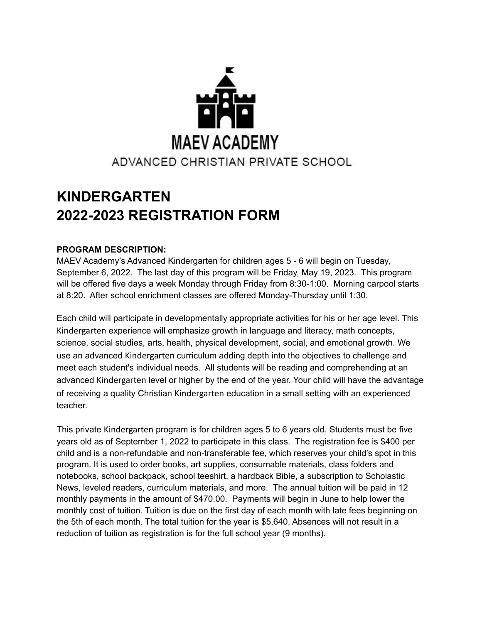

## **KINDERGARTEN 2022-2023 REGISTRATION FORM**

## **PROGRAM DESCRIPTION:**

MAEV Academy's Advanced Kindergarten for children ages 5 - 6 will begin on Tuesday, September 6, 2022. The last day of this program will be Friday, May 19, 2023. This program will be offered five days a week Monday through Friday from 8:30-1:00. Morning carpool starts at 8:20. After school enrichment classes are offered Monday-Thursday until 1:30.

Each child will participate in developmentally appropriate activities for his or her age level. This Kindergarten experience will emphasize growth in language and literacy, math concepts, science, social studies, arts, health, physical development, social, and emotional growth. We use an advanced Kindergarten curriculum adding depth into the objectives to challenge and meet each student's individual needs. All students will be reading and comprehending at an advanced Kindergarten level or higher by the end of the year. Your child will have the advantage of receiving a quality Christian Kindergarten education in a small setting with an experienced teacher.

This private Kindergarten program is for children ages 5 to 6 years old. Students must be five years old as of September 1, 2022 to participate in this class. The registration fee is \$400 per child and is a non-refundable and non-transferable fee, which reserves your child's spot in this program. It is used to order books, art supplies, consumable materials, class folders and notebooks, school backpack, school teeshirt, a hardback Bible, a subscription to Scholastic News, leveled readers, curriculum materials, and more. The annual tuition will be paid in 12 monthly payments in the amount of \$470.00. Payments will begin in June to help lower the monthly cost of tuition. Tuition is due on the first day of each month with late fees beginning on the 5th of each month. The total tuition for the year is \$5,640. Absences will not result in a reduction of tuition as registration is for the full school year (9 months).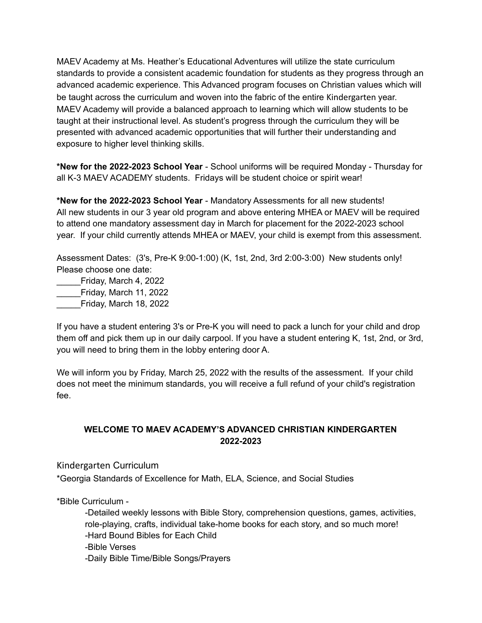MAEV Academy at Ms. Heather's Educational Adventures will utilize the state curriculum standards to provide a consistent academic foundation for students as they progress through an advanced academic experience. This Advanced program focuses on Christian values which will be taught across the curriculum and woven into the fabric of the entire Kindergarten year. MAEV Academy will provide a balanced approach to learning which will allow students to be taught at their instructional level. As student's progress through the curriculum they will be presented with advanced academic opportunities that will further their understanding and exposure to higher level thinking skills.

**\*New for the 2022-2023 School Year** - School uniforms will be required Monday - Thursday for all K-3 MAEV ACADEMY students. Fridays will be student choice or spirit wear!

**\*New for the 2022-2023 School Year** - Mandatory Assessments for all new students! All new students in our 3 year old program and above entering MHEA or MAEV will be required to attend one mandatory assessment day in March for placement for the 2022-2023 school year. If your child currently attends MHEA or MAEV, your child is exempt from this assessment.

Assessment Dates: (3's, Pre-K 9:00-1:00) (K, 1st, 2nd, 3rd 2:00-3:00) New students only! Please choose one date:

\_\_\_\_\_Friday, March 4, 2022 \_\_\_\_\_Friday, March 11, 2022 \_\_\_\_\_Friday, March 18, 2022

If you have a student entering 3's or Pre-K you will need to pack a lunch for your child and drop them off and pick them up in our daily carpool. If you have a student entering K, 1st, 2nd, or 3rd, you will need to bring them in the lobby entering door A.

We will inform you by Friday, March 25, 2022 with the results of the assessment. If your child does not meet the minimum standards, you will receive a full refund of your child's registration fee.

## **WELCOME TO MAEV ACADEMY'S ADVANCED CHRISTIAN KINDERGARTEN 2022-2023**

Kindergarten Curriculum

\*Georgia Standards of Excellence for Math, ELA, Science, and Social Studies

\*Bible Curriculum -

-Detailed weekly lessons with Bible Story, comprehension questions, games, activities, role-playing, crafts, individual take-home books for each story, and so much more! -Hard Bound Bibles for Each Child -Bible Verses -Daily Bible Time/Bible Songs/Prayers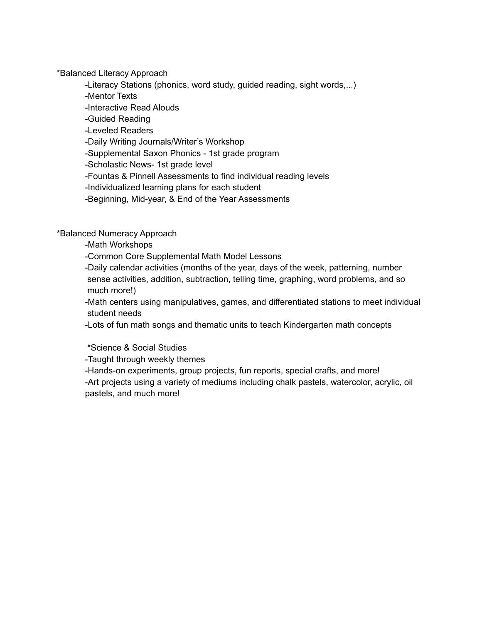\*Balanced Literacy Approach

-Literacy Stations (phonics, word study, guided reading, sight words,...)

-Mentor Texts

-Interactive Read Alouds

-Guided Reading

-Leveled Readers

-Daily Writing Journals/Writer's Workshop

-Supplemental Saxon Phonics - 1st grade program

-Scholastic News- 1st grade level

-Fountas & Pinnell Assessments to find individual reading levels

-Individualized learning plans for each student

-Beginning, Mid-year, & End of the Year Assessments

\*Balanced Numeracy Approach

-Math Workshops

-Common Core Supplemental Math Model Lessons

-Daily calendar activities (months of the year, days of the week, patterning, number sense activities, addition, subtraction, telling time, graphing, word problems, and so much more!)

-Math centers using manipulatives, games, and differentiated stations to meet individual student needs

-Lots of fun math songs and thematic units to teach Kindergarten math concepts

\*Science & Social Studies

-Taught through weekly themes

-Hands-on experiments, group projects, fun reports, special crafts, and more! -Art projects using a variety of mediums including chalk pastels, watercolor, acrylic, oil pastels, and much more!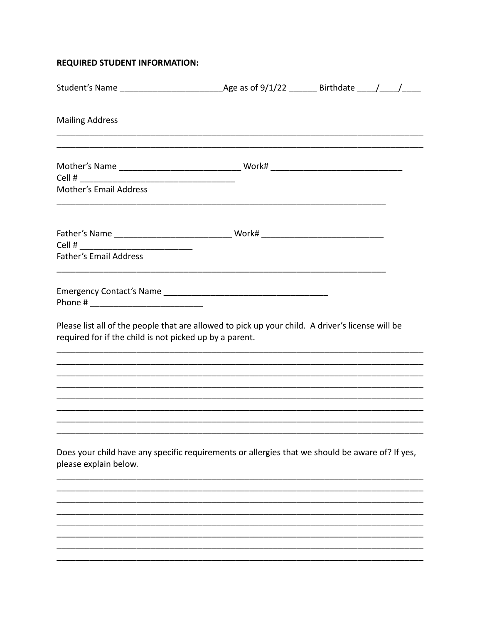## **REQUIRED STUDENT INFORMATION:**

| <b>Mailing Address</b>                                                                                                                                      |  |
|-------------------------------------------------------------------------------------------------------------------------------------------------------------|--|
| Cell #<br><b>Mother's Email Address</b>                                                                                                                     |  |
| <b>Father's Email Address</b>                                                                                                                               |  |
| Please list all of the people that are allowed to pick up your child. A driver's license will be<br>required for if the child is not picked up by a parent. |  |
|                                                                                                                                                             |  |
| Does your child have any specific requirements or allergies that we should be aware of? If yes,<br>please explain below.                                    |  |
|                                                                                                                                                             |  |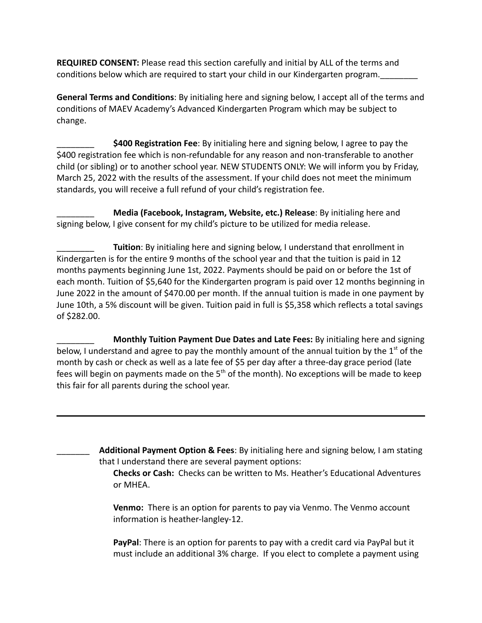**REQUIRED CONSENT:** Please read this section carefully and initial by ALL of the terms and conditions below which are required to start your child in our Kindergarten program.\_\_\_\_\_\_\_\_

**General Terms and Conditions**: By initialing here and signing below, I accept all of the terms and conditions of MAEV Academy's Advanced Kindergarten Program which may be subject to change.

\_\_\_\_\_\_\_\_ **\$400 Registration Fee**: By initialing here and signing below, I agree to pay the \$400 registration fee which is non-refundable for any reason and non-transferable to another child (or sibling) or to another school year. NEW STUDENTS ONLY: We will inform you by Friday, March 25, 2022 with the results of the assessment. If your child does not meet the minimum standards, you will receive a full refund of your child's registration fee.

\_\_\_\_\_\_\_\_ **Media (Facebook, Instagram, Website, etc.) Release**: By initialing here and signing below, I give consent for my child's picture to be utilized for media release.

**Tuition**: By initialing here and signing below, I understand that enrollment in Kindergarten is for the entire 9 months of the school year and that the tuition is paid in 12 months payments beginning June 1st, 2022. Payments should be paid on or before the 1st of each month. Tuition of \$5,640 for the Kindergarten program is paid over 12 months beginning in June 2022 in the amount of \$470.00 per month. If the annual tuition is made in one payment by June 10th, a 5% discount will be given. Tuition paid in full is \$5,358 which reflects a total savings of \$282.00.

\_\_\_\_\_\_\_\_ **Monthly Tuition Payment Due Dates and Late Fees:** By initialing here and signing below, I understand and agree to pay the monthly amount of the annual tuition by the  $1<sup>st</sup>$  of the month by cash or check as well as a late fee of \$5 per day after a three-day grace period (late fees will begin on payments made on the  $5<sup>th</sup>$  of the month). No exceptions will be made to keep this fair for all parents during the school year.

> \_\_\_\_\_\_\_ **Additional Payment Option & Fees**: By initialing here and signing below, I am stating that I understand there are several payment options:

**Checks or Cash:** Checks can be written to Ms. Heather's Educational Adventures or MHEA.

**Venmo:** There is an option for parents to pay via Venmo. The Venmo account information is heather-langley-12.

**PayPal**: There is an option for parents to pay with a credit card via PayPal but it must include an additional 3% charge. If you elect to complete a payment using